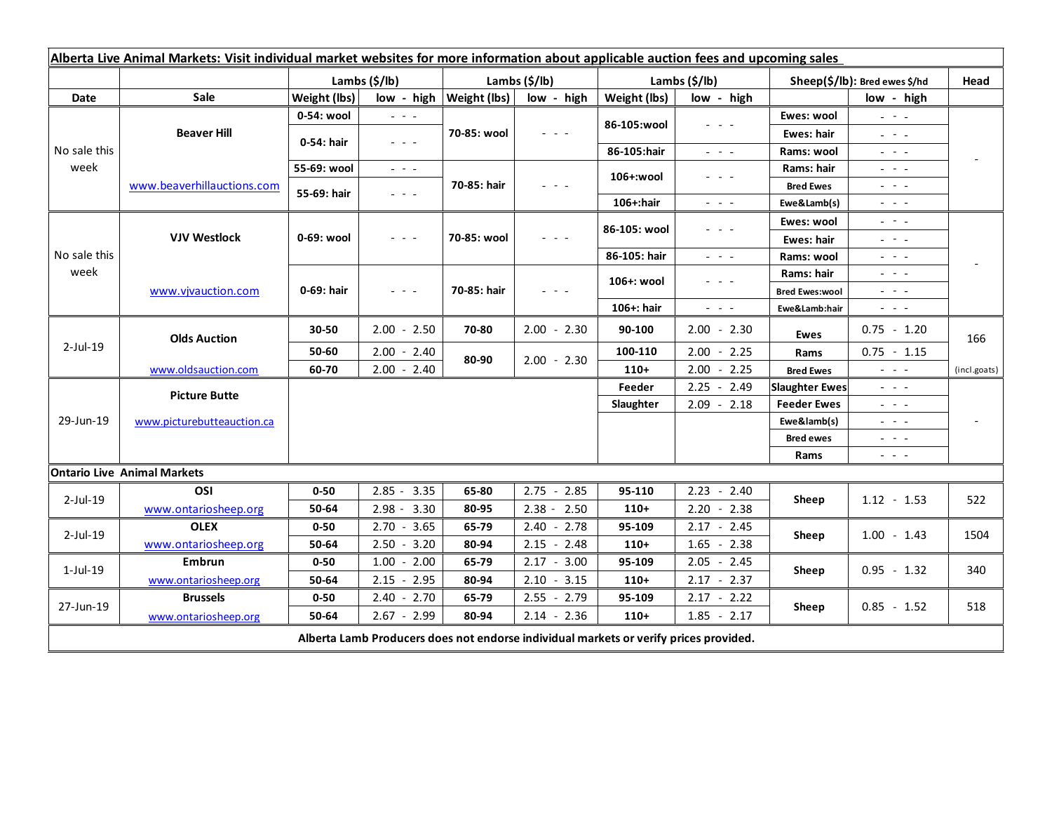| Alberta Live Animal Markets: Visit individual market websites for more information about applicable auction fees and upcoming sales |                                    |               |                                                                                                                           |               |                                                                                                                           |                           |                                                                                                                                                                                                                                                                                                                                         |                               |                                                                                                                                                                                                                                                                                                                                                                                                                                                |                          |
|-------------------------------------------------------------------------------------------------------------------------------------|------------------------------------|---------------|---------------------------------------------------------------------------------------------------------------------------|---------------|---------------------------------------------------------------------------------------------------------------------------|---------------------------|-----------------------------------------------------------------------------------------------------------------------------------------------------------------------------------------------------------------------------------------------------------------------------------------------------------------------------------------|-------------------------------|------------------------------------------------------------------------------------------------------------------------------------------------------------------------------------------------------------------------------------------------------------------------------------------------------------------------------------------------------------------------------------------------------------------------------------------------|--------------------------|
|                                                                                                                                     |                                    | Lambs (\$/lb) |                                                                                                                           | Lambs (\$/lb) |                                                                                                                           | Lambs $(\frac{2}{3})$ lb) |                                                                                                                                                                                                                                                                                                                                         | Sheep(\$/lb): Bred ewes \$/hd |                                                                                                                                                                                                                                                                                                                                                                                                                                                | Head                     |
| Date                                                                                                                                | Sale                               | Weight (lbs)  | low - high                                                                                                                | Weight (lbs)  | low - high                                                                                                                | Weight (lbs)              | low - high                                                                                                                                                                                                                                                                                                                              |                               | low - high                                                                                                                                                                                                                                                                                                                                                                                                                                     |                          |
| No sale this<br>week                                                                                                                | <b>Beaver Hill</b>                 | 0-54: wool    | $\omega_{\rm{c}}$ and $\omega_{\rm{c}}$                                                                                   | 70-85: wool   | $\frac{1}{2} \left( \frac{1}{2} \right) \left( \frac{1}{2} \right) \left( \frac{1}{2} \right) \left( \frac{1}{2} \right)$ | 86-105:wool               | $\frac{1}{2} \left( \frac{1}{2} \right) \left( \frac{1}{2} \right) \left( \frac{1}{2} \right) \left( \frac{1}{2} \right)$                                                                                                                                                                                                               | Ewes: wool                    | $\mathbb{Z}^2 \times \mathbb{Z}^2$                                                                                                                                                                                                                                                                                                                                                                                                             |                          |
|                                                                                                                                     |                                    | 0-54: hair    | $\frac{1}{2} \left( \frac{1}{2} \right) \left( \frac{1}{2} \right) \left( \frac{1}{2} \right) \left( \frac{1}{2} \right)$ |               |                                                                                                                           |                           |                                                                                                                                                                                                                                                                                                                                         | Ewes: hair                    | $\mathbb{L}^2 \times \mathbb{L}^2$                                                                                                                                                                                                                                                                                                                                                                                                             |                          |
|                                                                                                                                     |                                    |               |                                                                                                                           |               |                                                                                                                           | 86-105:hair               | $\frac{1}{2} \left( \frac{1}{2} \right) = \frac{1}{2} \left( \frac{1}{2} \right)$                                                                                                                                                                                                                                                       | Rams: wool                    | $\frac{1}{2} \left( \frac{1}{2} \right) = \frac{1}{2} \left( \frac{1}{2} \right)$                                                                                                                                                                                                                                                                                                                                                              |                          |
|                                                                                                                                     | www.beaverhillauctions.com         | 55-69: wool   | $\omega_{\rm{eff}}$ and $\omega_{\rm{eff}}$                                                                               | 70-85: hair   | $  -$                                                                                                                     | 106+:wool                 | - - -                                                                                                                                                                                                                                                                                                                                   | Rams: hair                    | $\frac{1}{2} \left( \frac{1}{2} \right) = \frac{1}{2} \left( \frac{1}{2} \right) = \frac{1}{2}$                                                                                                                                                                                                                                                                                                                                                |                          |
|                                                                                                                                     |                                    | 55-69: hair   | $\omega_{\rm{eff}}$ and $\omega_{\rm{eff}}$                                                                               |               |                                                                                                                           |                           |                                                                                                                                                                                                                                                                                                                                         | <b>Bred Ewes</b>              | $\frac{1}{2} \left( \frac{1}{2} \right) \frac{1}{2} \left( \frac{1}{2} \right) \frac{1}{2} \left( \frac{1}{2} \right) \frac{1}{2} \left( \frac{1}{2} \right) \frac{1}{2} \left( \frac{1}{2} \right) \frac{1}{2} \left( \frac{1}{2} \right) \frac{1}{2} \left( \frac{1}{2} \right) \frac{1}{2} \left( \frac{1}{2} \right) \frac{1}{2} \left( \frac{1}{2} \right) \frac{1}{2} \left( \frac{1}{2} \right) \frac{1}{2} \left( \frac{1}{2} \right)$ |                          |
|                                                                                                                                     |                                    |               |                                                                                                                           |               |                                                                                                                           | 106+:hair                 | $\omega_{\rm{c}}$ , $\omega_{\rm{c}}$ , $\omega_{\rm{c}}$                                                                                                                                                                                                                                                                               | Ewe&Lamb(s)                   | $\omega_{\rm{eff}}$ and $\omega_{\rm{eff}}$                                                                                                                                                                                                                                                                                                                                                                                                    |                          |
| No sale this<br>week                                                                                                                | <b>VJV Westlock</b>                | 0-69: wool    | $\frac{1}{2} \left( \frac{1}{2} \right) \left( \frac{1}{2} \right) \left( \frac{1}{2} \right) \left( \frac{1}{2} \right)$ | 70-85: wool   | $\frac{1}{2} \left( \frac{1}{2} \right) \left( \frac{1}{2} \right) \left( \frac{1}{2} \right) \left( \frac{1}{2} \right)$ | 86-105: wool              | $\frac{1}{2} \left( \frac{1}{2} \right) \left( \frac{1}{2} \right) \left( \frac{1}{2} \right) \left( \frac{1}{2} \right)$                                                                                                                                                                                                               | Ewes: wool                    | $\frac{1}{2} \left( \frac{1}{2} \right) = \frac{1}{2} \left( \frac{1}{2} \right)$                                                                                                                                                                                                                                                                                                                                                              |                          |
|                                                                                                                                     |                                    |               |                                                                                                                           |               |                                                                                                                           |                           |                                                                                                                                                                                                                                                                                                                                         | Ewes: hair                    | $\frac{1}{2}$ and $\frac{1}{2}$                                                                                                                                                                                                                                                                                                                                                                                                                |                          |
|                                                                                                                                     |                                    |               |                                                                                                                           |               |                                                                                                                           | 86-105: hair              | $\frac{1}{2} \left( \frac{1}{2} \right) = \frac{1}{2} \left( \frac{1}{2} \right)$                                                                                                                                                                                                                                                       | Rams: wool                    | $\frac{1}{2} \left( \frac{1}{2} \right) = \frac{1}{2} \left( \frac{1}{2} \right) = \frac{1}{2}$                                                                                                                                                                                                                                                                                                                                                |                          |
|                                                                                                                                     | www.vjvauction.com                 | 0-69: hair    | $\frac{1}{2} \left( \frac{1}{2} \right) = \frac{1}{2} \left( \frac{1}{2} \right)$                                         | 70-85: hair   | $  -$                                                                                                                     | 106+: wool                | $  -$                                                                                                                                                                                                                                                                                                                                   | Rams: hair                    | $- - - -$                                                                                                                                                                                                                                                                                                                                                                                                                                      |                          |
|                                                                                                                                     |                                    |               |                                                                                                                           |               |                                                                                                                           |                           |                                                                                                                                                                                                                                                                                                                                         | <b>Bred Ewes:wool</b>         | $\frac{1}{2} \left( \frac{1}{2} \right) = \frac{1}{2} \left( \frac{1}{2} \right) = \frac{1}{2}$                                                                                                                                                                                                                                                                                                                                                |                          |
|                                                                                                                                     |                                    |               |                                                                                                                           |               |                                                                                                                           | 106+: hair                | $\frac{1}{2} \left( \begin{array}{ccc} 1 & 0 & 0 \\ 0 & 0 & 0 \\ 0 & 0 & 0 \\ 0 & 0 & 0 \\ 0 & 0 & 0 \\ 0 & 0 & 0 \\ 0 & 0 & 0 \\ 0 & 0 & 0 \\ 0 & 0 & 0 \\ 0 & 0 & 0 \\ 0 & 0 & 0 \\ 0 & 0 & 0 & 0 \\ 0 & 0 & 0 & 0 \\ 0 & 0 & 0 & 0 \\ 0 & 0 & 0 & 0 & 0 \\ 0 & 0 & 0 & 0 & 0 \\ 0 & 0 & 0 & 0 & 0 \\ 0 & 0 & 0 & 0 & 0 \\ 0 & 0 & 0$ | Ewe&Lamb:hair                 | $\frac{1}{2} \left( \frac{1}{2} \right) \left( \frac{1}{2} \right) \left( \frac{1}{2} \right) \left( \frac{1}{2} \right) \left( \frac{1}{2} \right)$                                                                                                                                                                                                                                                                                           |                          |
| $2$ -Jul-19                                                                                                                         | <b>Olds Auction</b>                | 30-50         | $2.00 - 2.50$                                                                                                             | 70-80         | $2.00 - 2.30$                                                                                                             | 90-100                    | $2.00 - 2.30$                                                                                                                                                                                                                                                                                                                           | <b>Ewes</b>                   | $0.75 - 1.20$                                                                                                                                                                                                                                                                                                                                                                                                                                  | 166                      |
|                                                                                                                                     |                                    | 50-60         | $2.00 - 2.40$                                                                                                             | 80-90         | $2.00 - 2.30$                                                                                                             | 100-110                   | $2.00 - 2.25$                                                                                                                                                                                                                                                                                                                           | Rams                          | $0.75 - 1.15$                                                                                                                                                                                                                                                                                                                                                                                                                                  |                          |
|                                                                                                                                     | www.oldsauction.com                | 60-70         | $2.00 - 2.40$                                                                                                             |               |                                                                                                                           | $110+$                    | $2.00 - 2.25$                                                                                                                                                                                                                                                                                                                           | <b>Bred Ewes</b>              | $\sim$ $\sim$ $\sim$                                                                                                                                                                                                                                                                                                                                                                                                                           | (incl.goats)             |
| 29-Jun-19                                                                                                                           | <b>Picture Butte</b>               |               |                                                                                                                           |               |                                                                                                                           | Feeder                    | $2.25 - 2.49$                                                                                                                                                                                                                                                                                                                           | <b>Slaughter Ewes</b>         | $\frac{1}{2} \left( \frac{1}{2} \right) \left( \frac{1}{2} \right) \left( \frac{1}{2} \right) \left( \frac{1}{2} \right)$                                                                                                                                                                                                                                                                                                                      |                          |
|                                                                                                                                     | www.picturebutteauction.ca         |               |                                                                                                                           |               |                                                                                                                           | Slaughter                 | $2.09 - 2.18$                                                                                                                                                                                                                                                                                                                           | <b>Feeder Ewes</b>            | $\frac{1}{2} \left( \frac{1}{2} \right) = \frac{1}{2} \left( \frac{1}{2} \right) = \frac{1}{2}$                                                                                                                                                                                                                                                                                                                                                |                          |
|                                                                                                                                     |                                    |               |                                                                                                                           |               |                                                                                                                           |                           |                                                                                                                                                                                                                                                                                                                                         | Ewe&lamb(s)                   | $\frac{1}{2} \left( \frac{1}{2} \right) = \frac{1}{2} \left( \frac{1}{2} \right) = \frac{1}{2}$                                                                                                                                                                                                                                                                                                                                                | $\overline{\phantom{a}}$ |
|                                                                                                                                     |                                    |               |                                                                                                                           |               |                                                                                                                           |                           |                                                                                                                                                                                                                                                                                                                                         | <b>Bred ewes</b>              | $\frac{1}{2} \left( \frac{1}{2} \right) = \frac{1}{2} \left( \frac{1}{2} \right) = \frac{1}{2}$                                                                                                                                                                                                                                                                                                                                                |                          |
|                                                                                                                                     |                                    |               |                                                                                                                           |               |                                                                                                                           |                           |                                                                                                                                                                                                                                                                                                                                         | Rams                          | $\frac{1}{2} \left( \frac{1}{2} \right) = \frac{1}{2} \left( \frac{1}{2} \right)$                                                                                                                                                                                                                                                                                                                                                              |                          |
|                                                                                                                                     | <b>Ontario Live Animal Markets</b> |               |                                                                                                                           |               |                                                                                                                           |                           |                                                                                                                                                                                                                                                                                                                                         |                               |                                                                                                                                                                                                                                                                                                                                                                                                                                                |                          |
| $2$ -Jul-19                                                                                                                         | OSI                                | $0 - 50$      | $2.85 - 3.35$                                                                                                             | 65-80         | $2.75 - 2.85$                                                                                                             | 95-110                    | $2.23 - 2.40$                                                                                                                                                                                                                                                                                                                           | Sheep                         | $1.12 - 1.53$                                                                                                                                                                                                                                                                                                                                                                                                                                  | 522                      |
|                                                                                                                                     | www.ontariosheep.org               | 50-64         | $2.98 - 3.30$                                                                                                             | 80-95         | $2.38 - 2.50$                                                                                                             | $110+$                    | $2.20 - 2.38$                                                                                                                                                                                                                                                                                                                           |                               |                                                                                                                                                                                                                                                                                                                                                                                                                                                |                          |
| $2$ -Jul-19                                                                                                                         | <b>OLEX</b>                        | $0 - 50$      | 3.65<br>$2.70 -$                                                                                                          | 65-79         | $2.40 - 2.78$                                                                                                             | 95-109                    | $2.17 - 2.45$                                                                                                                                                                                                                                                                                                                           | Sheep                         | $1.00 - 1.43$                                                                                                                                                                                                                                                                                                                                                                                                                                  | 1504                     |
|                                                                                                                                     | www.ontariosheep.org               | 50-64         | $2.50 - 3.20$                                                                                                             | 80-94         | $2.15 - 2.48$                                                                                                             | $110+$                    | $1.65 - 2.38$                                                                                                                                                                                                                                                                                                                           |                               |                                                                                                                                                                                                                                                                                                                                                                                                                                                |                          |
| $1$ -Jul- $19$                                                                                                                      | <b>Embrun</b>                      | $0 - 50$      | $1.00 - 2.00$                                                                                                             | 65-79         | $2.17 - 3.00$                                                                                                             | 95-109                    | $2.05 - 2.45$                                                                                                                                                                                                                                                                                                                           | Sheep                         | $0.95 - 1.32$                                                                                                                                                                                                                                                                                                                                                                                                                                  | 340                      |
|                                                                                                                                     | www.ontariosheep.org               | 50-64         | $2.15 - 2.95$                                                                                                             | 80-94         | $2.10 - 3.15$                                                                                                             | $110+$                    | $2.17 - 2.37$                                                                                                                                                                                                                                                                                                                           |                               |                                                                                                                                                                                                                                                                                                                                                                                                                                                |                          |
| 27-Jun-19                                                                                                                           | <b>Brussels</b>                    | $0 - 50$      | $2.40 - 2.70$                                                                                                             | 65-79         | $2.55 - 2.79$                                                                                                             | 95-109                    | $2.17 - 2.22$                                                                                                                                                                                                                                                                                                                           | Sheep                         | $0.85 - 1.52$                                                                                                                                                                                                                                                                                                                                                                                                                                  | 518                      |
|                                                                                                                                     | www.ontariosheep.org               | 50-64         | $2.67 - 2.99$                                                                                                             | 80-94         | $2.14 - 2.36$                                                                                                             | $110+$                    | $1.85 - 2.17$                                                                                                                                                                                                                                                                                                                           |                               |                                                                                                                                                                                                                                                                                                                                                                                                                                                |                          |
| Alberta Lamb Producers does not endorse individual markets or verify prices provided.                                               |                                    |               |                                                                                                                           |               |                                                                                                                           |                           |                                                                                                                                                                                                                                                                                                                                         |                               |                                                                                                                                                                                                                                                                                                                                                                                                                                                |                          |